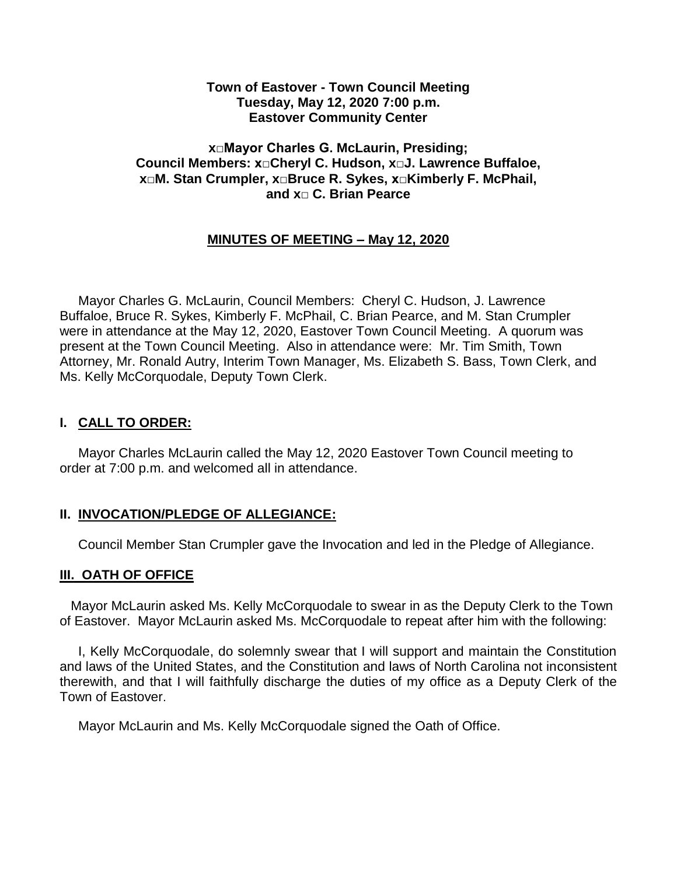### **Town of Eastover - Town Council Meeting Tuesday, May 12, 2020 7:00 p.m. Eastover Community Center**

### **x□Mayor Charles G. McLaurin, Presiding; Council Members: x□Cheryl C. Hudson, x□J. Lawrence Buffaloe, x□M. Stan Crumpler, x□Bruce R. Sykes, x□Kimberly F. McPhail, and x□ C. Brian Pearce**

# **MINUTES OF MEETING – May 12, 2020**

 Mayor Charles G. McLaurin, Council Members: Cheryl C. Hudson, J. Lawrence Buffaloe, Bruce R. Sykes, Kimberly F. McPhail, C. Brian Pearce, and M. Stan Crumpler were in attendance at the May 12, 2020, Eastover Town Council Meeting. A quorum was present at the Town Council Meeting. Also in attendance were: Mr. Tim Smith, Town Attorney, Mr. Ronald Autry, Interim Town Manager, Ms. Elizabeth S. Bass, Town Clerk, and Ms. Kelly McCorquodale, Deputy Town Clerk.

## **I. CALL TO ORDER:**

 Mayor Charles McLaurin called the May 12, 2020 Eastover Town Council meeting to order at 7:00 p.m. and welcomed all in attendance.

## **II. INVOCATION/PLEDGE OF ALLEGIANCE:**

Council Member Stan Crumpler gave the Invocation and led in the Pledge of Allegiance.

#### **III. OATH OF OFFICE**

 Mayor McLaurin asked Ms. Kelly McCorquodale to swear in as the Deputy Clerk to the Town of Eastover. Mayor McLaurin asked Ms. McCorquodale to repeat after him with the following:

 I, Kelly McCorquodale, do solemnly swear that I will support and maintain the Constitution and laws of the United States, and the Constitution and laws of North Carolina not inconsistent therewith, and that I will faithfully discharge the duties of my office as a Deputy Clerk of the Town of Eastover.

Mayor McLaurin and Ms. Kelly McCorquodale signed the Oath of Office.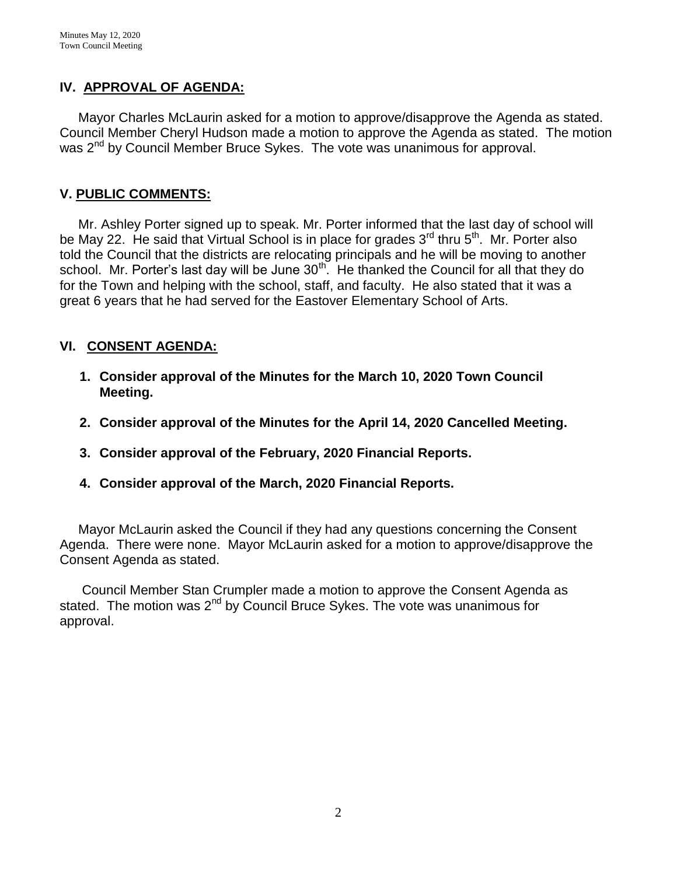# **IV. APPROVAL OF AGENDA:**

 Mayor Charles McLaurin asked for a motion to approve/disapprove the Agenda as stated. Council Member Cheryl Hudson made a motion to approve the Agenda as stated. The motion was 2<sup>nd</sup> by Council Member Bruce Sykes. The vote was unanimous for approval.

## **V. PUBLIC COMMENTS:**

 Mr. Ashley Porter signed up to speak. Mr. Porter informed that the last day of school will be May 22. He said that Virtual School is in place for grades 3<sup>rd</sup> thru 5<sup>th</sup>. Mr. Porter also told the Council that the districts are relocating principals and he will be moving to another school. Mr. Porter's last day will be June  $30<sup>th</sup>$ . He thanked the Council for all that they do for the Town and helping with the school, staff, and faculty. He also stated that it was a great 6 years that he had served for the Eastover Elementary School of Arts.

# **VI. CONSENT AGENDA:**

- **1. Consider approval of the Minutes for the March 10, 2020 Town Council Meeting.**
- **2. Consider approval of the Minutes for the April 14, 2020 Cancelled Meeting.**
- **3. Consider approval of the February, 2020 Financial Reports.**
- **4. Consider approval of the March, 2020 Financial Reports.**

 Mayor McLaurin asked the Council if they had any questions concerning the Consent Agenda. There were none. Mayor McLaurin asked for a motion to approve/disapprove the Consent Agenda as stated.

 Council Member Stan Crumpler made a motion to approve the Consent Agenda as stated. The motion was  $2^{nd}$  by Council Bruce Sykes. The vote was unanimous for approval.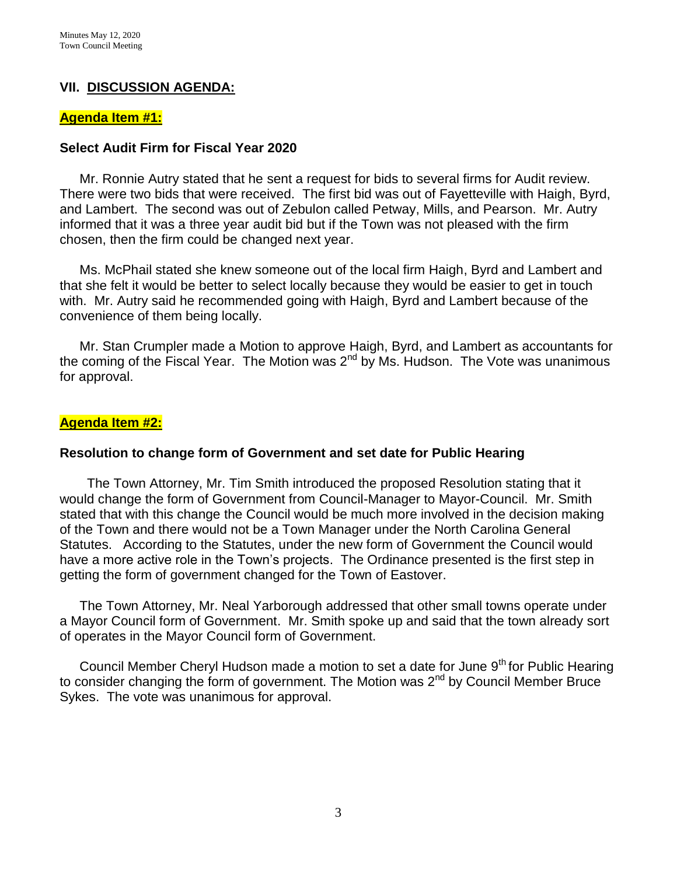## **VII. DISCUSSION AGENDA:**

#### **Agenda Item #1:**

#### **Select Audit Firm for Fiscal Year 2020**

Mr. Ronnie Autry stated that he sent a request for bids to several firms for Audit review. There were two bids that were received. The first bid was out of Fayetteville with Haigh, Byrd, and Lambert. The second was out of Zebulon called Petway, Mills, and Pearson. Mr. Autry informed that it was a three year audit bid but if the Town was not pleased with the firm chosen, then the firm could be changed next year.

Ms. McPhail stated she knew someone out of the local firm Haigh, Byrd and Lambert and that she felt it would be better to select locally because they would be easier to get in touch with. Mr. Autry said he recommended going with Haigh, Byrd and Lambert because of the convenience of them being locally.

Mr. Stan Crumpler made a Motion to approve Haigh, Byrd, and Lambert as accountants for the coming of the Fiscal Year. The Motion was 2<sup>nd</sup> by Ms. Hudson. The Vote was unanimous for approval.

#### **Agenda Item #2:**

#### **Resolution to change form of Government and set date for Public Hearing**

 The Town Attorney, Mr. Tim Smith introduced the proposed Resolution stating that it would change the form of Government from Council-Manager to Mayor-Council. Mr. Smith stated that with this change the Council would be much more involved in the decision making of the Town and there would not be a Town Manager under the North Carolina General Statutes. According to the Statutes, under the new form of Government the Council would have a more active role in the Town's projects. The Ordinance presented is the first step in getting the form of government changed for the Town of Eastover.

The Town Attorney, Mr. Neal Yarborough addressed that other small towns operate under a Mayor Council form of Government. Mr. Smith spoke up and said that the town already sort of operates in the Mayor Council form of Government.

Council Member Cheryl Hudson made a motion to set a date for June  $9<sup>th</sup>$  for Public Hearing to consider changing the form of government. The Motion was 2<sup>nd</sup> by Council Member Bruce Sykes. The vote was unanimous for approval.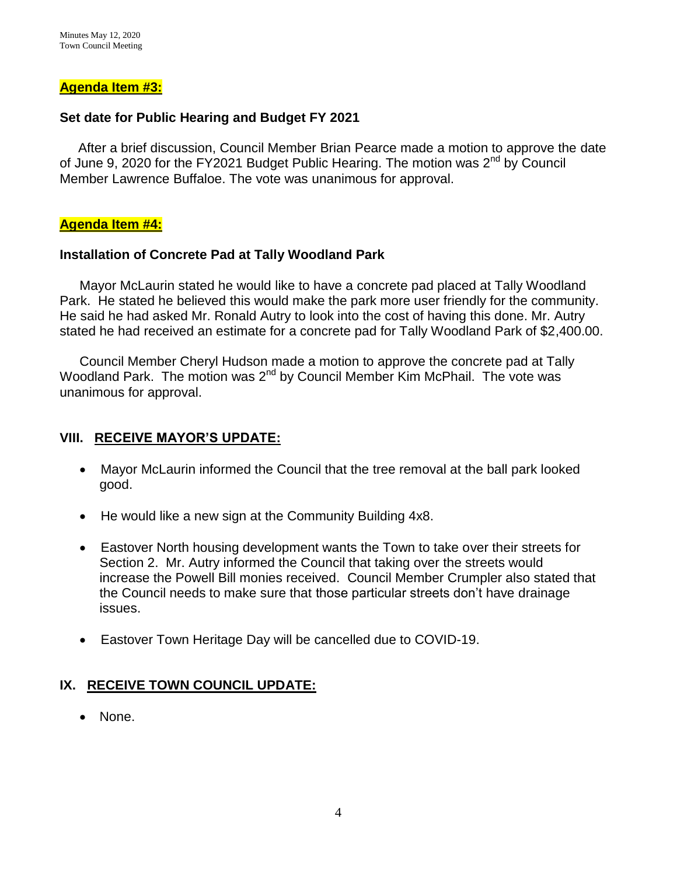### **Agenda Item #3:**

### **Set date for Public Hearing and Budget FY 2021**

After a brief discussion, Council Member Brian Pearce made a motion to approve the date of June 9, 2020 for the FY2021 Budget Public Hearing. The motion was 2<sup>nd</sup> by Council Member Lawrence Buffaloe. The vote was unanimous for approval.

### **Agenda Item #4:**

### **Installation of Concrete Pad at Tally Woodland Park**

Mayor McLaurin stated he would like to have a concrete pad placed at Tally Woodland Park. He stated he believed this would make the park more user friendly for the community. He said he had asked Mr. Ronald Autry to look into the cost of having this done. Mr. Autry stated he had received an estimate for a concrete pad for Tally Woodland Park of \$2,400.00.

Council Member Cheryl Hudson made a motion to approve the concrete pad at Tally Woodland Park. The motion was 2<sup>nd</sup> by Council Member Kim McPhail. The vote was unanimous for approval.

## **VIII. RECEIVE MAYOR'S UPDATE:**

- Mayor McLaurin informed the Council that the tree removal at the ball park looked good.
- He would like a new sign at the Community Building 4x8.
- Eastover North housing development wants the Town to take over their streets for Section 2. Mr. Autry informed the Council that taking over the streets would increase the Powell Bill monies received. Council Member Crumpler also stated that the Council needs to make sure that those particular streets don't have drainage issues.
- Eastover Town Heritage Day will be cancelled due to COVID-19.

## **IX. RECEIVE TOWN COUNCIL UPDATE:**

• None.